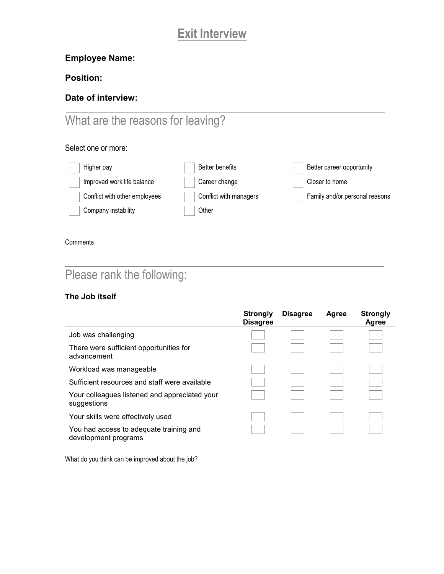# **Exit Interview**

## **Employee Name:**

## **Position:**

## **Date of interview:**

# What are the reasons for leaving?

### Select one or more:

| Higher pay                    | Better benefits        | Better career opportunity      |
|-------------------------------|------------------------|--------------------------------|
| Improved work life balance    | Career change          | Closer to home                 |
| Conflict with other employees | Conflict with managers | Family and/or personal reasons |
| Company instability           | Other                  |                                |

#### **Comments**

# Please rank the following:

### **The Job itself**

|                                                                 | <b>Strongly</b><br><b>Disagree</b> | <b>Disagree</b> | Agree | <b>Strongly</b><br>Agree |
|-----------------------------------------------------------------|------------------------------------|-----------------|-------|--------------------------|
| Job was challenging                                             |                                    |                 |       |                          |
| There were sufficient opportunities for<br>advancement          |                                    |                 |       |                          |
| Workload was manageable                                         |                                    |                 |       |                          |
| Sufficient resources and staff were available                   |                                    |                 |       |                          |
| Your colleagues listened and appreciated your<br>suggestions    |                                    |                 |       |                          |
| Your skills were effectively used                               |                                    |                 |       |                          |
| You had access to adequate training and<br>development programs |                                    |                 |       |                          |

What do you think can be improved about the job?